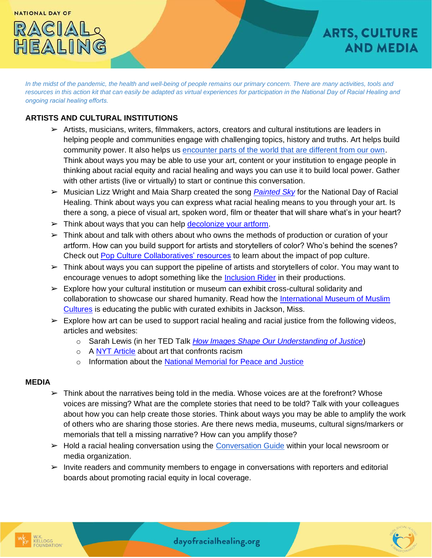

*In the midst of the pandemic, the health and well-being of people remains our primary concern. There are many activities, tools and resources in this action kit that can easily be adapted as virtual experiences for participation in the National Day of Racial Healing and ongoing racial healing efforts.*

## **ARTISTS AND CULTURAL INSTITUTIONS**

- $\triangleright$  Artists, musicians, writers, filmmakers, actors, creators and cultural institutions are leaders in helping people and communities engage with challenging topics, history and truths. Art helps build community power. It also helps u[s encounter parts of the world that are different from our own.](https://www.ted.com/talks/sarah_lewis_how_images_shape_our_understanding_of_justice) Think about ways you may be able to use your art, content or your institution to engage people in thinking about racial equity and racial healing and ways you can use it to build local power. Gather with other artists (live or virtually) to start or continue this conversation.
- ➢ Musician Lizz Wright and Maia Sharp created the song *[Painted Sky](https://www.facebook.com/watch/?v=611331169053776)* for the National Day of Racial Healing. Think about ways you can express what racial healing means to you through your art. Is there a song, a piece of visual art, spoken word, film or theater that will share what's in your heart?
- $\triangleright$  Think about ways that you can help [decolonize your artform.](http://www.theinterfaithobserver.org/journal-articles/2019/3/12/decolonizing-art)
- $\triangleright$  Think about and talk with others about who owns the methods of production or curation of your artform. How can you build support for artists and storytellers of color? Who's behind the scenes? Check out [Pop Culture Collaboratives' resources](https://popcollab.org/learning/#breakthestory) to learn about the impact of pop culture.
- $\triangleright$  Think about ways you can support the pipeline of artists and storytellers of color. You may want to encourage venues to adopt something like the [Inclusion Rider](https://www.hollywoodreporter.com/business/business-news/amc-studios-new-inclusion-rider-endeavor-content-change-hollywood-4174246/) in their productions.
- $\triangleright$  Explore how your cultural institution or museum can exhibit cross-cultural solidarity and collaboration to showcase our shared humanity. Read how the [International Museum of Muslim](https://everychildthrives.com/a-moment-of-racial-justice-reckoning/) [Cultures](https://everychildthrives.com/a-moment-of-racial-justice-reckoning/) is educating the public with curated exhibits in Jackson, Miss.
- $\triangleright$  Explore how art can be used to support racial healing and racial justice from the following videos, articles and websites:
	- o Sarah Lewis (in her TED Talk *[How Images Shape Our Understanding of Justice](https://www.ted.com/talks/sarah_lewis_how_images_shape_our_understanding_of_justice)*)
	- o A [NYT Article](https://www.nytimes.com/2020/06/04/arts/racism-writings-books-movies.html) about art that confronts racism
	- o Information about the [National Memorial for Peace and Justice](https://museumandmemorial.eji.org/memorial)

## **MEDIA**

- $\triangleright$  Think about the narratives being told in the media. Whose voices are at the forefront? Whose voices are missing? What are the complete stories that need to be told? Talk with your colleagues about how you can help create those stories. Think about ways you may be able to amplify the work of others who are sharing those stories. Are there news media, museums, cultural signs/markers or memorials that tell a missing narrative? How can you amplify those?
- $\triangleright$  Hold a racial healing conversation using the [Conversation Guide](https://healourcommunities.org/conversation-guide_final-2022/) within your local newsroom or media organization.
- ➢ Invite readers and community members to engage in conversations with reporters and editorial boards about promoting racial equity in local coverage.